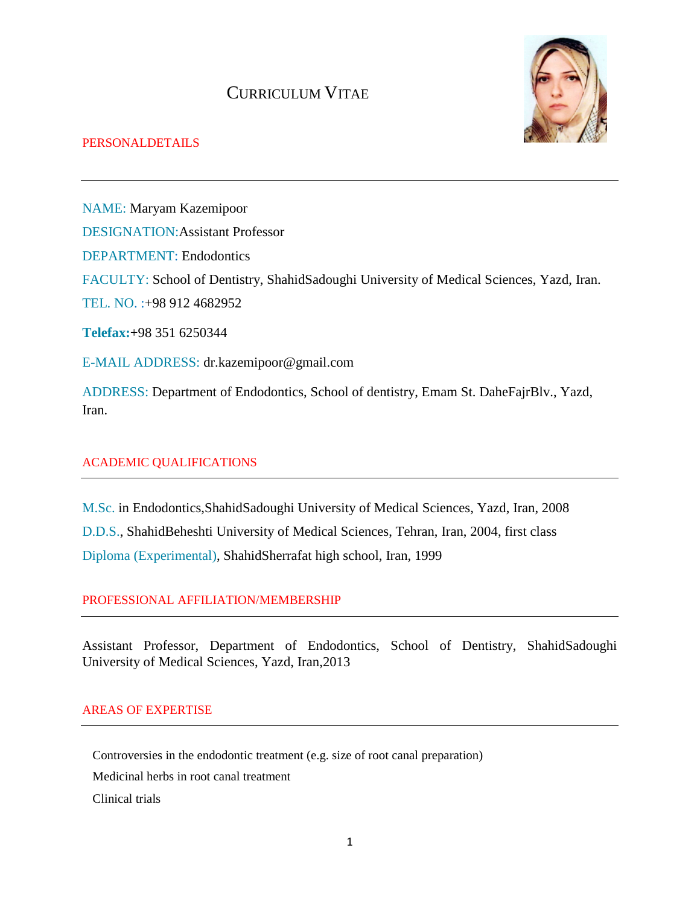# CURRICULUM VITAE



## **PERSONALDETAILS**

NAME: Maryam Kazemipoor DESIGNATION:Assistant Professor DEPARTMENT: Endodontics FACULTY: School of Dentistry, ShahidSadoughi University of Medical Sciences, Yazd, Iran. TEL. NO. :+98 912 4682952 **Telefax:**+98 351 6250344 E-MAIL ADDRESS: dr.kazemipoor@gmail.com

ADDRESS: Department of Endodontics, School of dentistry, Emam St. DaheFajrBlv., Yazd, Iran.

# ACADEMIC QUALIFICATIONS

M.Sc. in Endodontics,ShahidSadoughi University of Medical Sciences, Yazd, Iran, 2008 D.D.S., ShahidBeheshti University of Medical Sciences, Tehran, Iran, 2004, first class Diploma (Experimental), ShahidSherrafat high school, Iran, 1999

## PROFESSIONAL AFFILIATION/MEMBERSHIP

Assistant Professor, Department of Endodontics, School of Dentistry, ShahidSadoughi University of Medical Sciences, Yazd, Iran,2013

## AREAS OF EXPERTISE

Controversies in the endodontic treatment (e.g. size of root canal preparation)

Medicinal herbs in root canal treatment

Clinical trials